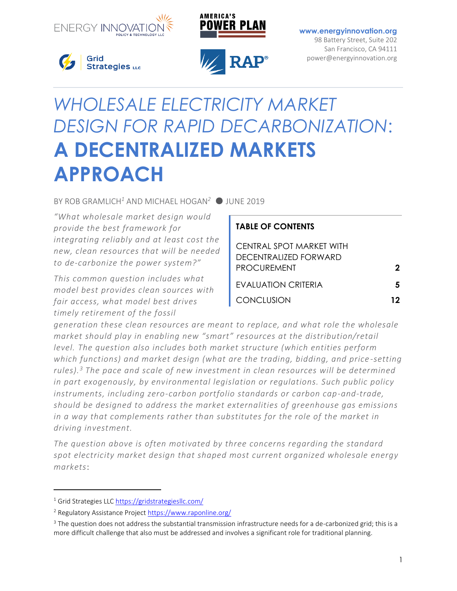



**[www.energyinnovation.org](http://www.energyinnovation.org/)** 98 Battery Street, Suite 202 San Francisco, CA 94111

power@energyinnovation.org



**APPROACH**



# *WHOLESALE ELECTRICITY MARKET DESIGN FOR RAPID DECARBONIZATION*: **A DECENTRALIZED MARKETS**

BY ROB GRAMLICH*<sup>1</sup>* AND MICHAEL HOGAN*<sup>2</sup>* ● JUNE 2019

*"What wholesale market design would provide the best framework for integrating reliably and at least cost the new, clean resources that will be needed to de-carbonize the power system?"* 

*This common question includes what model best provides clean sources with fair access, what model best drives timely retirement of the fossil* 

## **TABLE OF CONTENTS** CENTRAL SPOT MARKET WITH DECENTRALIZED FORWARD PROCUREMENT **2** EVALUATION CRITERIA **5** CONCLUSION **12**

*generation these clean resources are meant to replace, and what role the wholesale market should play in enabling new "smart" resources at the distribution/retail level. The question also includes both market structure (which entities perform which functions) and market design (what are the trading, bidding, and price -setting rules).<sup>3</sup> The pace and scale of new investment in clean resources will be determined in part exogenously, by environmental legislation or regulations. Such public policy instruments, including zero-carbon portfolio standards or carbon cap-and-trade, should be designed to address the market externalities of greenhouse gas emissions in a way that complements rather than substitutes for the role of the market in driving investment.*

*The question above is often motivated by three concerns regarding the standard spot electricity market design that shaped most current organized wholesale energy markets*:

 $\overline{a}$ 

<sup>&</sup>lt;sup>1</sup> Grid Strategies LLC<https://gridstrategiesllc.com/>

<sup>&</sup>lt;sup>2</sup> Regulatory Assistance Project<https://www.raponline.org/>

 $3$  The question does not address the substantial transmission infrastructure needs for a de-carbonized grid; this is a more difficult challenge that also must be addressed and involves a significant role for traditional planning.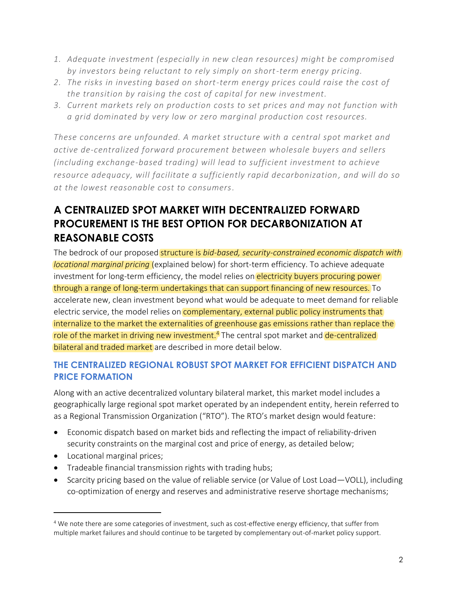- *1. Adequate investment (especially in new clean resources) might be compromised by investors being reluctant to rely simply on short-term energy pricing.*
- *2. The risks in investing based on short-term energy prices could raise the cost of the transition by raising the cost of capital for new investment.*
- *3. Current markets rely on production costs to set prices and may not function with a grid dominated by very low or zero marginal production cost resources.*

*These concerns are unfounded. A market structure with a central spot market and active de-centralized forward procurement between wholesale buyers and sellers (including exchange-based trading) will lead to sufficient investment to achieve resource adequacy, will facilitate a sufficiently rapid decarbonization , and will do so at the lowest reasonable cost to consumers.* 

## **A CENTRALIZED SPOT MARKET WITH DECENTRALIZED FORWARD PROCUREMENT IS THE BEST OPTION FOR DECARBONIZATION AT REASONABLE COSTS**

The bedrock of our proposed structure is *bid-based, security-constrained economic dispatch with locational marginal pricing* (explained below) for short-term efficiency. To achieve adequate investment for long-term efficiency, the model relies on electricity buyers procuring power through a range of long-term undertakings that can support financing of new resources. To accelerate new, clean investment beyond what would be adequate to meet demand for reliable electric service, the model relies on **complementary, external public policy instruments that** internalize to the market the externalities of greenhouse gas emissions rather than replace the role of the market in driving new investment.<sup>4</sup> The central spot market and de-centralized bilateral and traded market are described in more detail below.

#### **THE CENTRALIZED REGIONAL ROBUST SPOT MARKET FOR EFFICIENT DISPATCH AND PRICE FORMATION**

Along with an active decentralized voluntary bilateral market, this market model includes a geographically large regional spot market operated by an independent entity, herein referred to as a Regional Transmission Organization ("RTO"). The RTO's market design would feature:

- Economic dispatch based on market bids and reflecting the impact of reliability-driven security constraints on the marginal cost and price of energy, as detailed below;
- Locational marginal prices;

 $\overline{a}$ 

- Tradeable financial transmission rights with trading hubs;
- Scarcity pricing based on the value of reliable service (or Value of Lost Load—VOLL), including co-optimization of energy and reserves and administrative reserve shortage mechanisms;

<sup>&</sup>lt;sup>4</sup> We note there are some categories of investment, such as cost-effective energy efficiency, that suffer from multiple market failures and should continue to be targeted by complementary out-of-market policy support.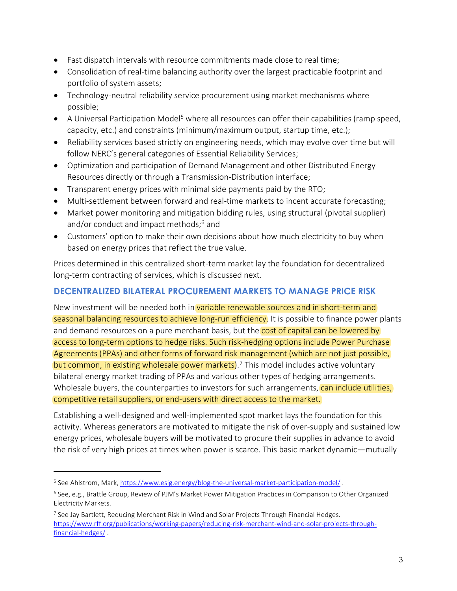- Fast dispatch intervals with resource commitments made close to real time;
- Consolidation of real-time balancing authority over the largest practicable footprint and portfolio of system assets;
- Technology-neutral reliability service procurement using market mechanisms where possible;
- A Universal Participation Model<sup>5</sup> where all resources can offer their capabilities (ramp speed, capacity, etc.) and constraints (minimum/maximum output, startup time, etc.);
- Reliability services based strictly on engineering needs, which may evolve over time but will follow NERC's general categories of Essential Reliability Services;
- Optimization and participation of Demand Management and other Distributed Energy Resources directly or through a Transmission-Distribution interface;
- Transparent energy prices with minimal side payments paid by the RTO;
- Multi-settlement between forward and real-time markets to incent accurate forecasting;
- Market power monitoring and mitigation bidding rules, using structural (pivotal supplier) and/or conduct and impact methods;<sup>6</sup> and
- Customers' option to make their own decisions about how much electricity to buy when based on energy prices that reflect the true value.

Prices determined in this centralized short-term market lay the foundation for decentralized long-term contracting of services, which is discussed next.

#### **DECENTRALIZED BILATERAL PROCUREMENT MARKETS TO MANAGE PRICE RISK**

New investment will be needed both in variable renewable sources and in short-term and seasonal balancing resources to achieve long-run efficiency. It is possible to finance power plants and demand resources on a pure merchant basis, but the cost of capital can be lowered by access to long-term options to hedge risks. Such risk-hedging options include Power Purchase Agreements (PPAs) and other forms of forward risk management (which are not just possible, but common, in existing wholesale power markets).<sup>7</sup> This model includes active voluntary bilateral energy market trading of PPAs and various other types of hedging arrangements. Wholesale buyers, the counterparties to investors for such arrangements, can include utilities, competitive retail suppliers, or end-users with direct access to the market.

Establishing a well-designed and well-implemented spot market lays the foundation for this activity. Whereas generators are motivated to mitigate the risk of over-supply and sustained low energy prices, wholesale buyers will be motivated to procure their supplies in advance to avoid the risk of very high prices at times when power is scarce. This basic market dynamic—mutually

 $\overline{a}$ 

<sup>.</sup> See Ahlstrom, Mark[, https://www.esig.energy/blog-the-universal-market-participation-model/](https://www.esig.energy/blog-the-universal-market-participation-model/)

<sup>&</sup>lt;sup>6</sup> See, e.g., Brattle Group, Review of PJM's Market Power Mitigation Practices in Comparison to Other Organized Electricity Markets.

<sup>&</sup>lt;sup>7</sup> See Jay Bartlett, Reducing Merchant Risk in Wind and Solar Projects Through Financial Hedges. [https://www.rff.org/publications/working-papers/reducing-risk-merchant-wind-and-solar-projects-through](https://www.rff.org/publications/working-papers/reducing-risk-merchant-wind-and-solar-projects-through-financial-hedges/)[financial-hedges/](https://www.rff.org/publications/working-papers/reducing-risk-merchant-wind-and-solar-projects-through-financial-hedges/) .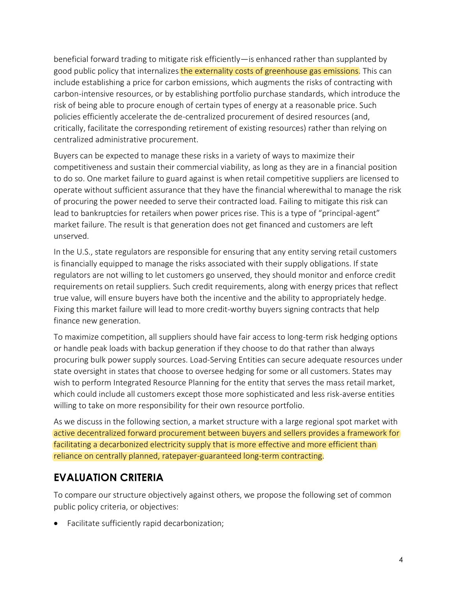beneficial forward trading to mitigate risk efficiently—is enhanced rather than supplanted by good public policy that internalizes the externality costs of greenhouse gas emissions. This can include establishing a price for carbon emissions, which augments the risks of contracting with carbon-intensive resources, or by establishing portfolio purchase standards, which introduce the risk of being able to procure enough of certain types of energy at a reasonable price. Such policies efficiently accelerate the de-centralized procurement of desired resources (and, critically, facilitate the corresponding retirement of existing resources) rather than relying on centralized administrative procurement.

Buyers can be expected to manage these risks in a variety of ways to maximize their competitiveness and sustain their commercial viability, as long as they are in a financial position to do so. One market failure to guard against is when retail competitive suppliers are licensed to operate without sufficient assurance that they have the financial wherewithal to manage the risk of procuring the power needed to serve their contracted load. Failing to mitigate this risk can lead to bankruptcies for retailers when power prices rise. This is a type of "principal-agent" market failure. The result is that generation does not get financed and customers are left unserved.

In the U.S., state regulators are responsible for ensuring that any entity serving retail customers is financially equipped to manage the risks associated with their supply obligations. If state regulators are not willing to let customers go unserved, they should monitor and enforce credit requirements on retail suppliers. Such credit requirements, along with energy prices that reflect true value, will ensure buyers have both the incentive and the ability to appropriately hedge. Fixing this market failure will lead to more credit-worthy buyers signing contracts that help finance new generation.

To maximize competition, all suppliers should have fair access to long-term risk hedging options or handle peak loads with backup generation if they choose to do that rather than always procuring bulk power supply sources. Load-Serving Entities can secure adequate resources under state oversight in states that choose to oversee hedging for some or all customers. States may wish to perform Integrated Resource Planning for the entity that serves the mass retail market, which could include all customers except those more sophisticated and less risk-averse entities willing to take on more responsibility for their own resource portfolio.

As we discuss in the following section, a market structure with a large regional spot market with active decentralized forward procurement between buyers and sellers provides a framework for facilitating a decarbonized electricity supply that is more effective and more efficient than reliance on centrally planned, ratepayer-guaranteed long-term contracting.

#### **EVALUATION CRITERIA**

To compare our structure objectively against others, we propose the following set of common public policy criteria, or objectives:

• Facilitate sufficiently rapid decarbonization;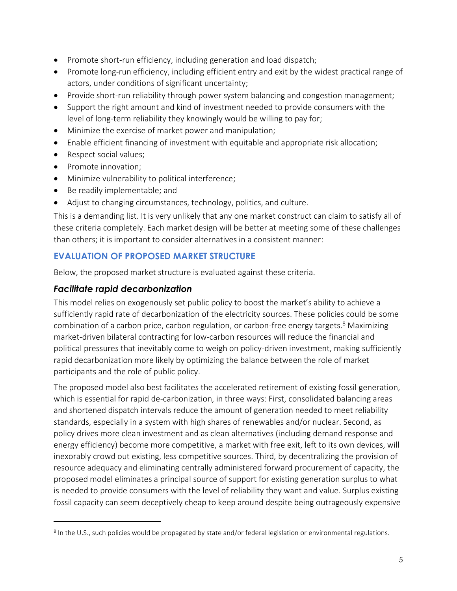- Promote short-run efficiency, including generation and load dispatch;
- Promote long-run efficiency, including efficient entry and exit by the widest practical range of actors, under conditions of significant uncertainty;
- Provide short-run reliability through power system balancing and congestion management;
- Support the right amount and kind of investment needed to provide consumers with the level of long-term reliability they knowingly would be willing to pay for;
- Minimize the exercise of market power and manipulation;
- Enable efficient financing of investment with equitable and appropriate risk allocation;
- Respect social values;
- Promote innovation;

 $\overline{a}$ 

- Minimize vulnerability to political interference;
- Be readily implementable; and
- Adjust to changing circumstances, technology, politics, and culture.

This is a demanding list. It is very unlikely that any one market construct can claim to satisfy all of these criteria completely. Each market design will be better at meeting some of these challenges than others; it is important to consider alternatives in a consistent manner:

#### **EVALUATION OF PROPOSED MARKET STRUCTURE**

Below, the proposed market structure is evaluated against these criteria.

#### *Facilitate rapid decarbonization*

This model relies on exogenously set public policy to boost the market's ability to achieve a sufficiently rapid rate of decarbonization of the electricity sources. These policies could be some combination of a carbon price, carbon regulation, or carbon-free energy targets.<sup>8</sup> Maximizing market-driven bilateral contracting for low-carbon resources will reduce the financial and political pressures that inevitably come to weigh on policy-driven investment, making sufficiently rapid decarbonization more likely by optimizing the balance between the role of market participants and the role of public policy.

The proposed model also best facilitates the accelerated retirement of existing fossil generation, which is essential for rapid de-carbonization, in three ways: First, consolidated balancing areas and shortened dispatch intervals reduce the amount of generation needed to meet reliability standards, especially in a system with high shares of renewables and/or nuclear. Second, as policy drives more clean investment and as clean alternatives (including demand response and energy efficiency) become more competitive, a market with free exit, left to its own devices, will inexorably crowd out existing, less competitive sources. Third, by decentralizing the provision of resource adequacy and eliminating centrally administered forward procurement of capacity, the proposed model eliminates a principal source of support for existing generation surplus to what is needed to provide consumers with the level of reliability they want and value. Surplus existing fossil capacity can seem deceptively cheap to keep around despite being outrageously expensive

<sup>&</sup>lt;sup>8</sup> In the U.S., such policies would be propagated by state and/or federal legislation or environmental regulations.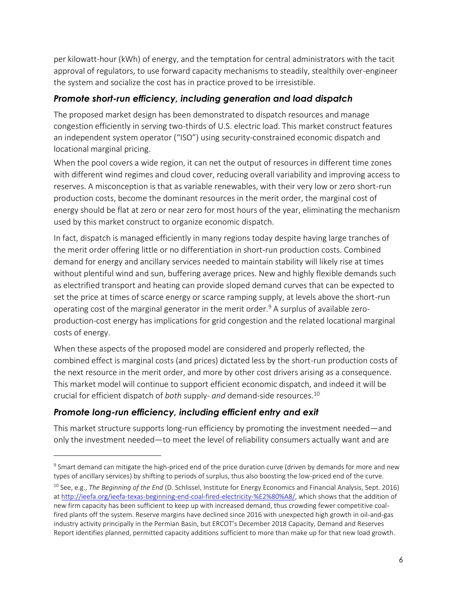per kilowatt-hour (kWh) of energy, and the temptation for central administrators with the tacit approval of regulators, to use forward capacity mechanisms to steadily, stealthily over-engineer the system and socialize the cost has in practice proved to be irresistible.

#### *Promote short-run efficiency, including generation and load dispatch*

The proposed market design has been demonstrated to dispatch resources and manage congestion efficiently in serving two-thirds of U.S. electric load. This market construct features an independent system operator ("ISO") using security-constrained economic dispatch and locational marginal pricing.

When the pool covers a wide region, it can net the output of resources in different time zones with different wind regimes and cloud cover, reducing overall variability and improving access to reserves. A misconception is that as variable renewables, with their very low or zero short-run production costs, become the dominant resources in the merit order, the marginal cost of energy should be flat at zero or near zero for most hours of the year, eliminating the mechanism used by this market construct to organize economic dispatch.

In fact, dispatch is managed efficiently in many regions today despite having large tranches of the merit order offering little or no differentiation in short-run production costs. Combined demand for energy and ancillary services needed to maintain stability will likely rise at times without plentiful wind and sun, buffering average prices. New and highly flexible demands such as electrified transport and heating can provide sloped demand curves that can be expected to set the price at times of scarce energy or scarce ramping supply, at levels above the short-run operating cost of the marginal generator in the merit order.<sup>9</sup> A surplus of available zeroproduction-cost energy has implications for grid congestion and the related locational marginal costs of energy.

When these aspects of the proposed model are considered and properly reflected, the combined effect is marginal costs (and prices) dictated less by the short-run production costs of the next resource in the merit order, and more by other cost drivers arising as a consequence. This market model will continue to support efficient economic dispatch, and indeed it will be crucial for efficient dispatch of *both* supply- *and* demand-side resources.<sup>10</sup>

#### *Promote long-run efficiency, including efficient entry and exit*

 $\overline{a}$ 

This market structure supports long-run efficiency by promoting the investment needed—and only the investment needed—to meet the level of reliability consumers actually want and are

 $^9$  Smart demand can mitigate the high-priced end of the price duration curve (driven by demands for more and new types of ancillary services) by shifting to periods of surplus, thus also boosting the low-priced end of the curve.

<sup>10</sup> See, e.g., *The Beginning of the End* (D. Schlissel, Institute for Energy Economics and Financial Analysis, Sept. 2016) at [http://ieefa.org/ieefa-texas-beginning-end-coal-fired-electricity-%E2%80%A8/,](http://ieefa.org/ieefa-texas-beginning-end-coal-fired-electricity-%E2%80%A8/) which shows that the addition of new firm capacity has been sufficient to keep up with increased demand, thus crowding fewer competitive coalfired plants off the system. Reserve margins have declined since 2016 with unexpected high growth in oil-and-gas industry activity principally in the Permian Basin, but ERCOT's December 2018 Capacity, Demand and Reserves Report identifies planned, permitted capacity additions sufficient to more than make up for that new load growth.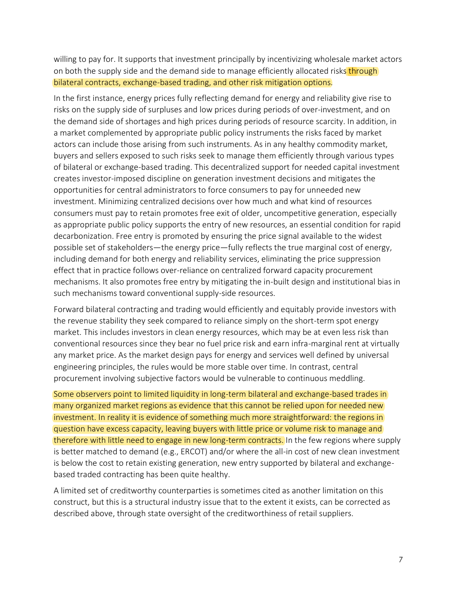willing to pay for. It supports that investment principally by incentivizing wholesale market actors on both the supply side and the demand side to manage efficiently allocated risks through bilateral contracts, exchange-based trading, and other risk mitigation options.

In the first instance, energy prices fully reflecting demand for energy and reliability give rise to risks on the supply side of surpluses and low prices during periods of over-investment, and on the demand side of shortages and high prices during periods of resource scarcity. In addition, in a market complemented by appropriate public policy instruments the risks faced by market actors can include those arising from such instruments. As in any healthy commodity market, buyers and sellers exposed to such risks seek to manage them efficiently through various types of bilateral or exchange-based trading. This decentralized support for needed capital investment creates investor-imposed discipline on generation investment decisions and mitigates the opportunities for central administrators to force consumers to pay for unneeded new investment. Minimizing centralized decisions over how much and what kind of resources consumers must pay to retain promotes free exit of older, uncompetitive generation, especially as appropriate public policy supports the entry of new resources, an essential condition for rapid decarbonization. Free entry is promoted by ensuring the price signal available to the widest possible set of stakeholders—the energy price—fully reflects the true marginal cost of energy, including demand for both energy and reliability services, eliminating the price suppression effect that in practice follows over-reliance on centralized forward capacity procurement mechanisms. It also promotes free entry by mitigating the in-built design and institutional bias in such mechanisms toward conventional supply-side resources.

Forward bilateral contracting and trading would efficiently and equitably provide investors with the revenue stability they seek compared to reliance simply on the short-term spot energy market. This includes investors in clean energy resources, which may be at even less risk than conventional resources since they bear no fuel price risk and earn infra-marginal rent at virtually any market price. As the market design pays for energy and services well defined by universal engineering principles, the rules would be more stable over time. In contrast, central procurement involving subjective factors would be vulnerable to continuous meddling.

Some observers point to limited liquidity in long-term bilateral and exchange-based trades in many organized market regions as evidence that this cannot be relied upon for needed new investment. In reality it is evidence of something much more straightforward: the regions in question have excess capacity, leaving buyers with little price or volume risk to manage and therefore with little need to engage in new long-term contracts. In the few regions where supply is better matched to demand (e.g., ERCOT) and/or where the all-in cost of new clean investment is below the cost to retain existing generation, new entry supported by bilateral and exchangebased traded contracting has been quite healthy.

A limited set of creditworthy counterparties is sometimes cited as another limitation on this construct, but this is a structural industry issue that to the extent it exists, can be corrected as described above, through state oversight of the creditworthiness of retail suppliers.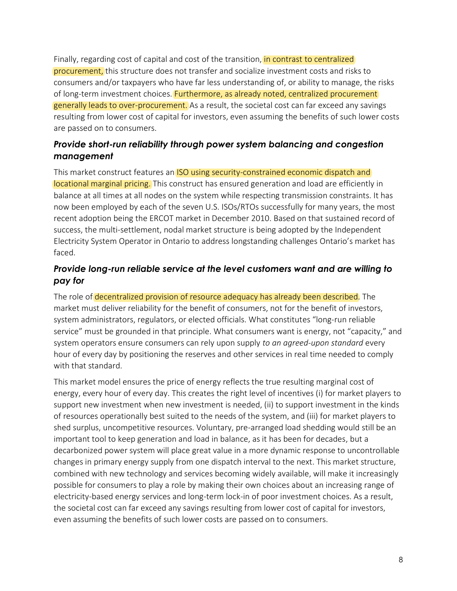Finally, regarding cost of capital and cost of the transition, in contrast to centralized procurement, this structure does not transfer and socialize investment costs and risks to consumers and/or taxpayers who have far less understanding of, or ability to manage, the risks of long-term investment choices. Furthermore, as already noted, centralized procurement generally leads to over-procurement. As a result, the societal cost can far exceed any savings resulting from lower cost of capital for investors, even assuming the benefits of such lower costs are passed on to consumers.

#### *Provide short-run reliability through power system balancing and congestion management*

This market construct features an ISO using security-constrained economic dispatch and locational marginal pricing. This construct has ensured generation and load are efficiently in balance at all times at all nodes on the system while respecting transmission constraints. It has now been employed by each of the seven U.S. ISOs/RTOs successfully for many years, the most recent adoption being the ERCOT market in December 2010. Based on that sustained record of success, the multi-settlement, nodal market structure is being adopted by the Independent Electricity System Operator in Ontario to address longstanding challenges Ontario's market has faced.

#### *Provide long-run reliable service at the level customers want and are willing to pay for*

The role of decentralized provision of resource adequacy has already been described. The market must deliver reliability for the benefit of consumers, not for the benefit of investors, system administrators, regulators, or elected officials. What constitutes "long-run reliable service" must be grounded in that principle. What consumers want is energy, not "capacity," and system operators ensure consumers can rely upon supply *to an agreed-upon standard* every hour of every day by positioning the reserves and other services in real time needed to comply with that standard.

This market model ensures the price of energy reflects the true resulting marginal cost of energy, every hour of every day. This creates the right level of incentives (i) for market players to support new investment when new investment is needed, (ii) to support investment in the kinds of resources operationally best suited to the needs of the system, and (iii) for market players to shed surplus, uncompetitive resources. Voluntary, pre-arranged load shedding would still be an important tool to keep generation and load in balance, as it has been for decades, but a decarbonized power system will place great value in a more dynamic response to uncontrollable changes in primary energy supply from one dispatch interval to the next. This market structure, combined with new technology and services becoming widely available, will make it increasingly possible for consumers to play a role by making their own choices about an increasing range of electricity-based energy services and long-term lock-in of poor investment choices. As a result, the societal cost can far exceed any savings resulting from lower cost of capital for investors, even assuming the benefits of such lower costs are passed on to consumers.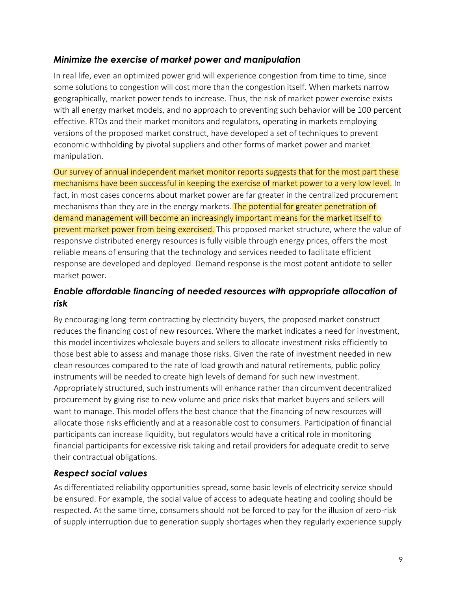#### *Minimize the exercise of market power and manipulation*

In real life, even an optimized power grid will experience congestion from time to time, since some solutions to congestion will cost more than the congestion itself. When markets narrow geographically, market power tends to increase. Thus, the risk of market power exercise exists with all energy market models, and no approach to preventing such behavior will be 100 percent effective. RTOs and their market monitors and regulators, operating in markets employing versions of the proposed market construct, have developed a set of techniques to prevent economic withholding by pivotal suppliers and other forms of market power and market manipulation.

Our survey of annual independent market monitor reports suggests that for the most part these mechanisms have been successful in keeping the exercise of market power to a very low level. In fact, in most cases concerns about market power are far greater in the centralized procurement mechanisms than they are in the energy markets. The potential for greater penetration of demand management will become an increasingly important means for the market itself to prevent market power from being exercised. This proposed market structure, where the value of responsive distributed energy resources is fully visible through energy prices, offers the most reliable means of ensuring that the technology and services needed to facilitate efficient response are developed and deployed. Demand response is the most potent antidote to seller market power.

#### *Enable affordable financing of needed resources with appropriate allocation of risk*

By encouraging long-term contracting by electricity buyers, the proposed market construct reduces the financing cost of new resources. Where the market indicates a need for investment, this model incentivizes wholesale buyers and sellers to allocate investment risks efficiently to those best able to assess and manage those risks. Given the rate of investment needed in new clean resources compared to the rate of load growth and natural retirements, public policy instruments will be needed to create high levels of demand for such new investment. Appropriately structured, such instruments will enhance rather than circumvent decentralized procurement by giving rise to new volume and price risks that market buyers and sellers will want to manage. This model offers the best chance that the financing of new resources will allocate those risks efficiently and at a reasonable cost to consumers. Participation of financial participants can increase liquidity, but regulators would have a critical role in monitoring financial participants for excessive risk taking and retail providers for adequate credit to serve their contractual obligations.

#### *Respect social values*

As differentiated reliability opportunities spread, some basic levels of electricity service should be ensured. For example, the social value of access to adequate heating and cooling should be respected. At the same time, consumers should not be forced to pay for the illusion of zero-risk of supply interruption due to generation supply shortages when they regularly experience supply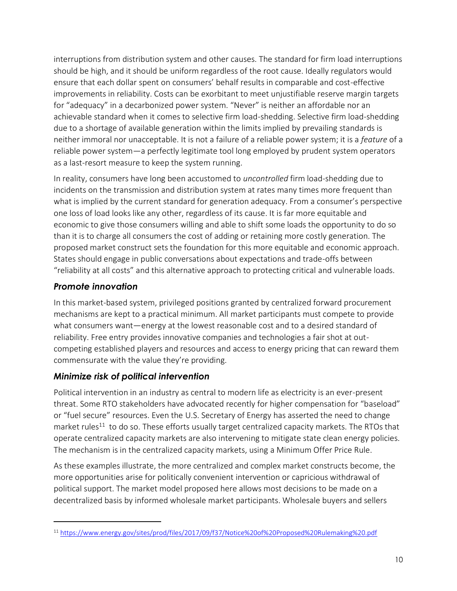interruptions from distribution system and other causes. The standard for firm load interruptions should be high, and it should be uniform regardless of the root cause. Ideally regulators would ensure that each dollar spent on consumers' behalf results in comparable and cost-effective improvements in reliability. Costs can be exorbitant to meet unjustifiable reserve margin targets for "adequacy" in a decarbonized power system. "Never" is neither an affordable nor an achievable standard when it comes to selective firm load-shedding. Selective firm load-shedding due to a shortage of available generation within the limits implied by prevailing standards is neither immoral nor unacceptable. It is not a failure of a reliable power system; it is a *feature* of a reliable power system—a perfectly legitimate tool long employed by prudent system operators as a last-resort measure to keep the system running.

In reality, consumers have long been accustomed to *uncontrolled* firm load-shedding due to incidents on the transmission and distribution system at rates many times more frequent than what is implied by the current standard for generation adequacy. From a consumer's perspective one loss of load looks like any other, regardless of its cause. It is far more equitable and economic to give those consumers willing and able to shift some loads the opportunity to do so than it is to charge all consumers the cost of adding or retaining more costly generation. The proposed market construct sets the foundation for this more equitable and economic approach. States should engage in public conversations about expectations and trade-offs between "reliability at all costs" and this alternative approach to protecting critical and vulnerable loads.

#### *Promote innovation*

 $\overline{a}$ 

In this market-based system, privileged positions granted by centralized forward procurement mechanisms are kept to a practical minimum. All market participants must compete to provide what consumers want—energy at the lowest reasonable cost and to a desired standard of reliability. Free entry provides innovative companies and technologies a fair shot at outcompeting established players and resources and access to energy pricing that can reward them commensurate with the value they're providing.

#### *Minimize risk of political intervention*

Political intervention in an industry as central to modern life as electricity is an ever-present threat. Some RTO stakeholders have advocated recently for higher compensation for "baseload" or "fuel secure" resources. Even the U.S. Secretary of Energy has asserted the need to change market rules<sup>11</sup> to do so. These efforts usually target centralized capacity markets. The RTOs that operate centralized capacity markets are also intervening to mitigate state clean energy policies. The mechanism is in the centralized capacity markets, using a Minimum Offer Price Rule.

As these examples illustrate, the more centralized and complex market constructs become, the more opportunities arise for politically convenient intervention or capricious withdrawal of political support. The market model proposed here allows most decisions to be made on a decentralized basis by informed wholesale market participants. Wholesale buyers and sellers

<sup>11</sup> <https://www.energy.gov/sites/prod/files/2017/09/f37/Notice%20of%20Proposed%20Rulemaking%20.pdf>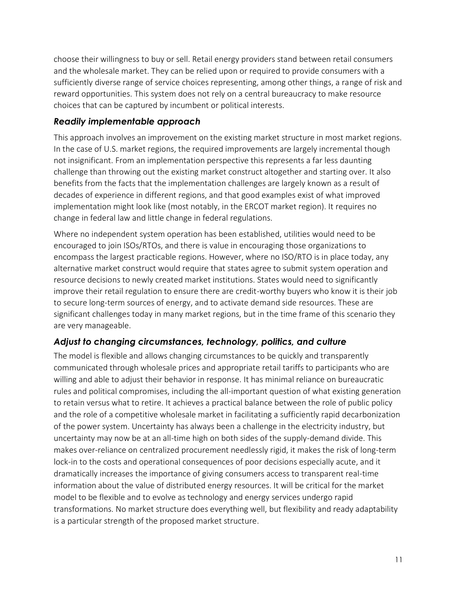choose their willingness to buy or sell. Retail energy providers stand between retail consumers and the wholesale market. They can be relied upon or required to provide consumers with a sufficiently diverse range of service choices representing, among other things, a range of risk and reward opportunities. This system does not rely on a central bureaucracy to make resource choices that can be captured by incumbent or political interests.

#### *Readily implementable approach*

This approach involves an improvement on the existing market structure in most market regions. In the case of U.S. market regions, the required improvements are largely incremental though not insignificant. From an implementation perspective this represents a far less daunting challenge than throwing out the existing market construct altogether and starting over. It also benefits from the facts that the implementation challenges are largely known as a result of decades of experience in different regions, and that good examples exist of what improved implementation might look like (most notably, in the ERCOT market region). It requires no change in federal law and little change in federal regulations.

Where no independent system operation has been established, utilities would need to be encouraged to join ISOs/RTOs, and there is value in encouraging those organizations to encompass the largest practicable regions. However, where no ISO/RTO is in place today, any alternative market construct would require that states agree to submit system operation and resource decisions to newly created market institutions. States would need to significantly improve their retail regulation to ensure there are credit-worthy buyers who know it is their job to secure long-term sources of energy, and to activate demand side resources. These are significant challenges today in many market regions, but in the time frame of this scenario they are very manageable.

#### *Adjust to changing circumstances, technology, politics, and culture*

The model is flexible and allows changing circumstances to be quickly and transparently communicated through wholesale prices and appropriate retail tariffs to participants who are willing and able to adjust their behavior in response. It has minimal reliance on bureaucratic rules and political compromises, including the all-important question of what existing generation to retain versus what to retire. It achieves a practical balance between the role of public policy and the role of a competitive wholesale market in facilitating a sufficiently rapid decarbonization of the power system. Uncertainty has always been a challenge in the electricity industry, but uncertainty may now be at an all-time high on both sides of the supply-demand divide. This makes over-reliance on centralized procurement needlessly rigid, it makes the risk of long-term lock-in to the costs and operational consequences of poor decisions especially acute, and it dramatically increases the importance of giving consumers access to transparent real-time information about the value of distributed energy resources. It will be critical for the market model to be flexible and to evolve as technology and energy services undergo rapid transformations. No market structure does everything well, but flexibility and ready adaptability is a particular strength of the proposed market structure.